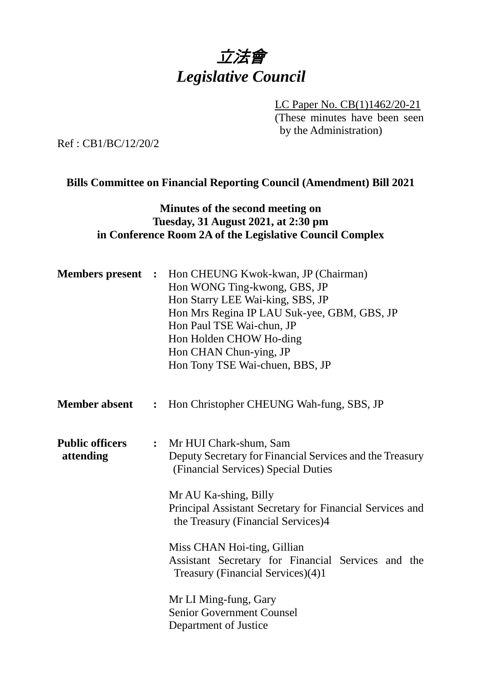# 立法會 *Legislative Council*

LC Paper No. CB(1)1462/20-21 (These minutes have been seen by the Administration)

Ref : CB1/BC/12/20/2

#### **Bills Committee on Financial Reporting Council (Amendment) Bill 2021**

## **Minutes of the second meeting on Tuesday, 31 August 2021, at 2:30 pm in Conference Room 2A of the Legislative Council Complex**

| <b>Members present :</b>            |                | Hon CHEUNG Kwok-kwan, JP (Chairman)<br>Hon WONG Ting-kwong, GBS, JP<br>Hon Starry LEE Wai-king, SBS, JP<br>Hon Mrs Regina IP LAU Suk-yee, GBM, GBS, JP<br>Hon Paul TSE Wai-chun, JP<br>Hon Holden CHOW Ho-ding<br>Hon CHAN Chun-ying, JP<br>Hon Tony TSE Wai-chuen, BBS, JP                                                                                                                             |
|-------------------------------------|----------------|---------------------------------------------------------------------------------------------------------------------------------------------------------------------------------------------------------------------------------------------------------------------------------------------------------------------------------------------------------------------------------------------------------|
| <b>Member absent</b>                | :              | Hon Christopher CHEUNG Wah-fung, SBS, JP                                                                                                                                                                                                                                                                                                                                                                |
| <b>Public officers</b><br>attending | $\ddot{\cdot}$ | Mr HUI Chark-shum, Sam<br>Deputy Secretary for Financial Services and the Treasury<br>(Financial Services) Special Duties<br>Mr AU Ka-shing, Billy<br>Principal Assistant Secretary for Financial Services and<br>the Treasury (Financial Services)4<br>Miss CHAN Hoi-ting, Gillian<br>Assistant Secretary for Financial Services and the<br>Treasury (Financial Services)(4)1<br>Mr LI Ming-fung, Gary |
|                                     |                | <b>Senior Government Counsel</b><br>Department of Justice                                                                                                                                                                                                                                                                                                                                               |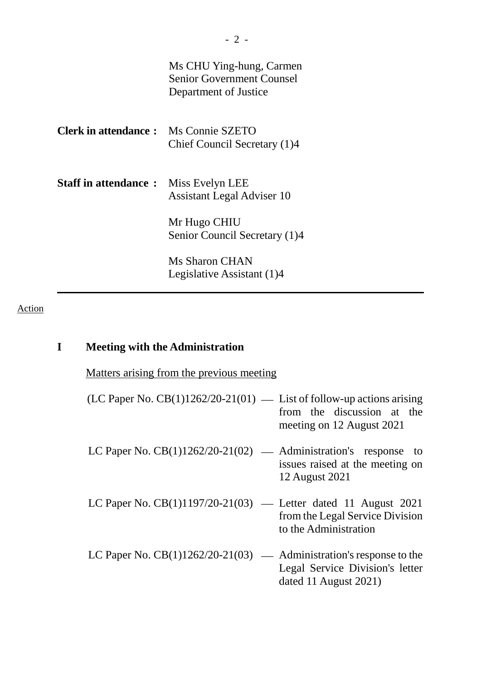|                                             | Ms CHU Ying-hung, Carmen<br><b>Senior Government Counsel</b><br>Department of Justice |
|---------------------------------------------|---------------------------------------------------------------------------------------|
| <b>Clerk in attendance:</b> Ms Connie SZETO | Chief Council Secretary (1)4                                                          |
| <b>Staff in attendance:</b>                 | Miss Evelyn LEE<br><b>Assistant Legal Adviser 10</b>                                  |
|                                             | Mr Hugo CHIU<br>Senior Council Secretary (1)4                                         |
|                                             | Ms Sharon CHAN<br>Legislative Assistant (1)4                                          |

## Action

## **I Meeting with the Administration**

Matters arising from the previous meeting

| (LC Paper No. $CB(1)1262/20-21(01)$ — List of follow-up actions arising | from the discussion at the<br>meeting on 12 August 2021 |
|-------------------------------------------------------------------------|---------------------------------------------------------|
| LC Paper No. $CB(1)1262/20-21(02)$ — Administration's response to       | issues raised at the meeting on<br>12 August 2021       |
| LC Paper No. $CB(1)1197/20-21(03)$ — Letter dated 11 August 2021        | from the Legal Service Division                         |

LC Paper No.  $CB(1)1262/20-21(03)$  — Administration's response to the Legal Service Division's letter dated 11 August 2021)

to the Administration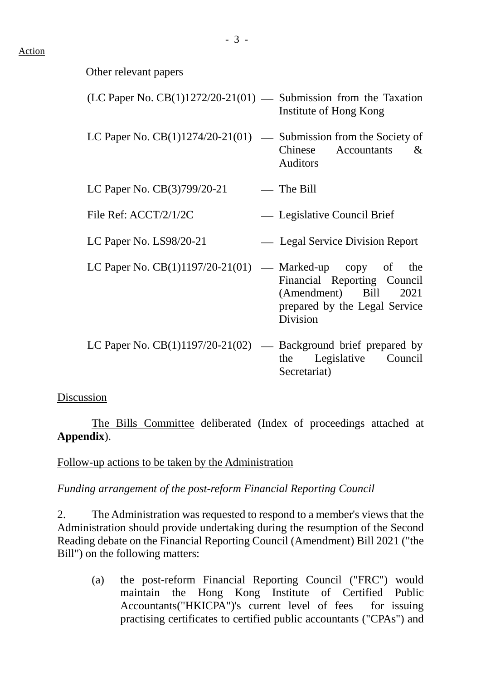#### Action

#### Other relevant papers

| $(LC$ Paper No. $CB(1)1272/20-21(01)$ — Submission from the Taxation | Institute of Hong Kong                                                                            |
|----------------------------------------------------------------------|---------------------------------------------------------------------------------------------------|
| LC Paper No. $CB(1)1274/20-21(01)$ — Submission from the Society of  | Chinese Accountants<br>$\&$<br><b>Auditors</b>                                                    |
| LC Paper No. CB(3)799/20-21                                          | — The Bill                                                                                        |
| File Ref: ACCT/2/1/2C                                                | — Legislative Council Brief                                                                       |
| LC Paper No. $LS98/20-21$                                            | - Legal Service Division Report                                                                   |
| LC Paper No. $CB(1)1197/20-21(01)$ — Marked-up copy of the           | Financial Reporting Council<br>(Amendment) Bill 2021<br>prepared by the Legal Service<br>Division |
| LC Paper No. $CB(1)1197/20-21(02)$ — Background brief prepared by    | Legislative Council<br>the<br>Secretariat)                                                        |

#### Discussion

The Bills Committee deliberated (Index of proceedings attached at **Appendix**).

Follow-up actions to be taken by the Administration

*Funding arrangement of the post-reform Financial Reporting Council*

2. The Administration was requested to respond to a member's views that the Administration should provide undertaking during the resumption of the Second Reading debate on the Financial Reporting Council (Amendment) Bill 2021 ("the Bill") on the following matters:

(a) the post-reform Financial Reporting Council ("FRC") would maintain the Hong Kong Institute of Certified Public Accountants("HKICPA")'s current level of fees for issuing practising certificates to certified public accountants ("CPAs") and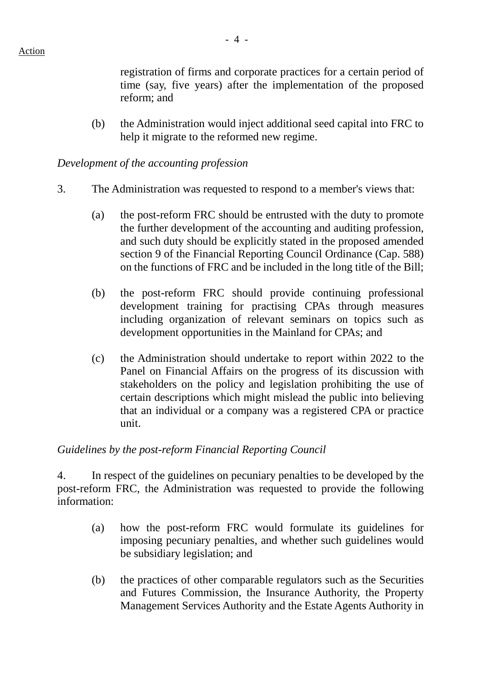registration of firms and corporate practices for a certain period of time (say, five years) after the implementation of the proposed reform; and

(b) the Administration would inject additional seed capital into FRC to help it migrate to the reformed new regime.

#### *Development of the accounting profession*

- 3. The Administration was requested to respond to a member's views that:
	- (a) the post-reform FRC should be entrusted with the duty to promote the further development of the accounting and auditing profession, and such duty should be explicitly stated in the proposed amended section 9 of the Financial Reporting Council Ordinance (Cap. 588) on the functions of FRC and be included in the long title of the Bill;
	- (b) the post-reform FRC should provide continuing professional development training for practising CPAs through measures including organization of relevant seminars on topics such as development opportunities in the Mainland for CPAs; and
	- (c) the Administration should undertake to report within 2022 to the Panel on Financial Affairs on the progress of its discussion with stakeholders on the policy and legislation prohibiting the use of certain descriptions which might mislead the public into believing that an individual or a company was a registered CPA or practice unit.

### *Guidelines by the post-reform Financial Reporting Council*

4. In respect of the guidelines on pecuniary penalties to be developed by the post-reform FRC, the Administration was requested to provide the following information:

- (a) how the post-reform FRC would formulate its guidelines for imposing pecuniary penalties, and whether such guidelines would be subsidiary legislation; and
- (b) the practices of other comparable regulators such as the Securities and Futures Commission, the Insurance Authority, the Property Management Services Authority and the Estate Agents Authority in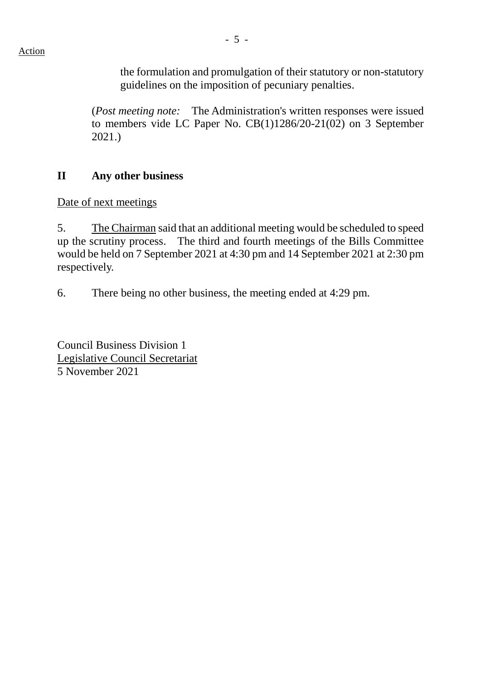the formulation and promulgation of their statutory or non-statutory guidelines on the imposition of pecuniary penalties.

(*Post meeting note:* The Administration's written responses were issued to members vide LC Paper No. CB(1)1286/20-21(02) on 3 September 2021.)

## **II Any other business**

Date of next meetings

5. The Chairman said that an additional meeting would be scheduled to speed up the scrutiny process. The third and fourth meetings of the Bills Committee would be held on 7 September 2021 at 4:30 pm and 14 September 2021 at 2:30 pm respectively.

6. There being no other business, the meeting ended at 4:29 pm.

Council Business Division 1 Legislative Council Secretariat 5 November 2021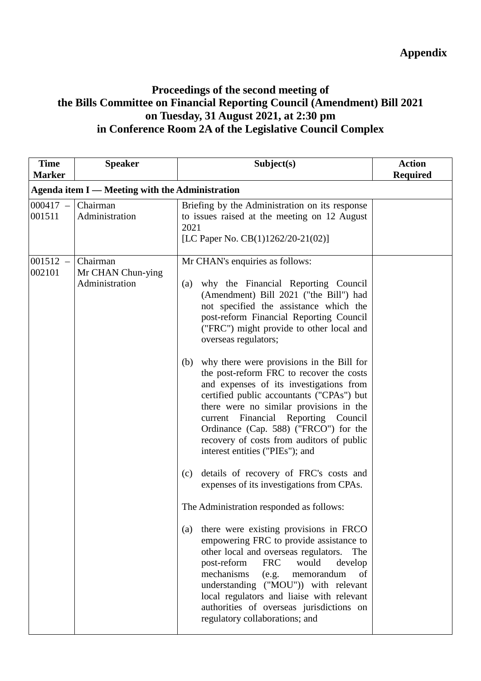## **Appendix**

## **Proceedings of the second meeting of the Bills Committee on Financial Reporting Council (Amendment) Bill 2021 on Tuesday, 31 August 2021, at 2:30 pm in Conference Room 2A of the Legislative Council Complex**

| <b>Time</b><br><b>Marker</b> | <b>Speaker</b>                                  | Subject(s)                                                                                                                                                                                                                                                                                                                                                                                                                                                                                                                                                                                                                                                                                                                                                                                                                                                                                                                                                                                                                                                                                                                                                                                                                              | <b>Action</b><br><b>Required</b> |  |
|------------------------------|-------------------------------------------------|-----------------------------------------------------------------------------------------------------------------------------------------------------------------------------------------------------------------------------------------------------------------------------------------------------------------------------------------------------------------------------------------------------------------------------------------------------------------------------------------------------------------------------------------------------------------------------------------------------------------------------------------------------------------------------------------------------------------------------------------------------------------------------------------------------------------------------------------------------------------------------------------------------------------------------------------------------------------------------------------------------------------------------------------------------------------------------------------------------------------------------------------------------------------------------------------------------------------------------------------|----------------------------------|--|
|                              | Agenda item I — Meeting with the Administration |                                                                                                                                                                                                                                                                                                                                                                                                                                                                                                                                                                                                                                                                                                                                                                                                                                                                                                                                                                                                                                                                                                                                                                                                                                         |                                  |  |
| $000417 -$<br>001511         | Chairman<br>Administration                      | Briefing by the Administration on its response<br>to issues raised at the meeting on 12 August<br>2021<br>[LC Paper No. CB(1)1262/20-21(02)]                                                                                                                                                                                                                                                                                                                                                                                                                                                                                                                                                                                                                                                                                                                                                                                                                                                                                                                                                                                                                                                                                            |                                  |  |
| $001512 -$<br>002101         | Chairman<br>Mr CHAN Chun-ying<br>Administration | Mr CHAN's enquiries as follows:<br>why the Financial Reporting Council<br>(a)<br>(Amendment) Bill 2021 ("the Bill") had<br>not specified the assistance which the<br>post-reform Financial Reporting Council<br>("FRC") might provide to other local and<br>overseas regulators;<br>why there were provisions in the Bill for<br>(b)<br>the post-reform FRC to recover the costs<br>and expenses of its investigations from<br>certified public accountants ("CPAs") but<br>there were no similar provisions in the<br>current Financial Reporting Council<br>Ordinance (Cap. 588) ("FRCO") for the<br>recovery of costs from auditors of public<br>interest entities ("PIEs"); and<br>details of recovery of FRC's costs and<br>(c)<br>expenses of its investigations from CPAs.<br>The Administration responded as follows:<br>there were existing provisions in FRCO<br>(a)<br>empowering FRC to provide assistance to<br>other local and overseas regulators.<br>The<br>post-reform<br><b>FRC</b><br>would<br>develop<br>mechanisms<br>(e.g.<br>memorandum<br>of<br>understanding ("MOU")) with relevant<br>local regulators and liaise with relevant<br>authorities of overseas jurisdictions on<br>regulatory collaborations; and |                                  |  |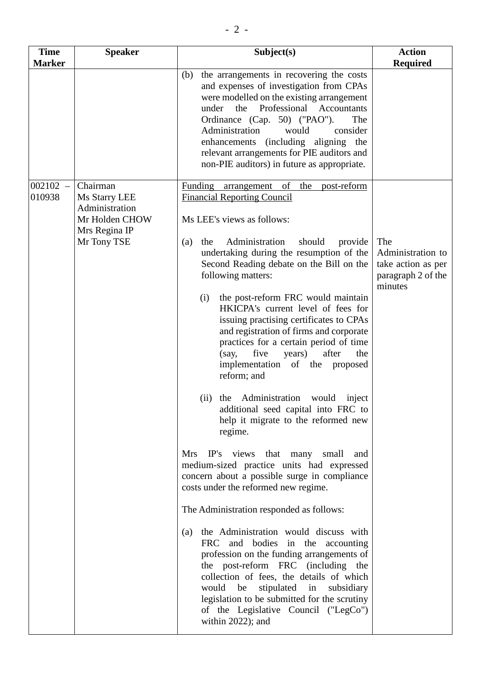| <b>Time</b>   | <b>Speaker</b>                                                                    | Subject(s)                                                                                                                                                                                                                                                                                                                                                                                                                                                                                                                                                                                                                                                                                                       | <b>Action</b>                                                                   |
|---------------|-----------------------------------------------------------------------------------|------------------------------------------------------------------------------------------------------------------------------------------------------------------------------------------------------------------------------------------------------------------------------------------------------------------------------------------------------------------------------------------------------------------------------------------------------------------------------------------------------------------------------------------------------------------------------------------------------------------------------------------------------------------------------------------------------------------|---------------------------------------------------------------------------------|
| <b>Marker</b> |                                                                                   |                                                                                                                                                                                                                                                                                                                                                                                                                                                                                                                                                                                                                                                                                                                  | <b>Required</b>                                                                 |
|               |                                                                                   | the arrangements in recovering the costs<br>(b)<br>and expenses of investigation from CPAs<br>were modelled on the existing arrangement<br>Professional<br>Accountants<br>the<br>under<br>Ordinance (Cap. 50) ("PAO").<br>The<br>Administration<br>would<br>consider<br>(including aligning the<br>enhancements<br>relevant arrangements for PIE auditors and<br>non-PIE auditors) in future as appropriate.                                                                                                                                                                                                                                                                                                     |                                                                                 |
| $002102 -$    | Chairman                                                                          | Funding arrangement<br>of<br>the<br>post-reform                                                                                                                                                                                                                                                                                                                                                                                                                                                                                                                                                                                                                                                                  |                                                                                 |
| 010938        | Ms Starry LEE<br>Administration<br>Mr Holden CHOW<br>Mrs Regina IP<br>Mr Tony TSE | <b>Financial Reporting Council</b><br>Ms LEE's views as follows:<br>Administration<br>should<br>provide<br>(a)<br>the<br>undertaking during the resumption of the<br>Second Reading debate on the Bill on the<br>following matters:<br>the post-reform FRC would maintain<br>(i)<br>HKICPA's current level of fees for<br>issuing practising certificates to CPAs<br>and registration of firms and corporate<br>practices for a certain period of time<br>five<br>after<br>years)<br>the<br>(say,<br>implementation of the proposed<br>reform; and<br>(ii) the Administration would<br>inject                                                                                                                    | The<br>Administration to<br>take action as per<br>paragraph 2 of the<br>minutes |
|               |                                                                                   | additional seed capital into FRC to<br>help it migrate to the reformed new<br>regime.<br>IP's views that many<br>Mrs<br>small<br>and<br>medium-sized practice units had expressed<br>concern about a possible surge in compliance<br>costs under the reformed new regime.<br>The Administration responded as follows:<br>the Administration would discuss with<br>(a)<br><b>FRC</b><br>and bodies in the accounting<br>profession on the funding arrangements of<br>the post-reform FRC (including the<br>collection of fees, the details of which<br>be<br>stipulated in<br>would<br>subsidiary<br>legislation to be submitted for the scrutiny<br>of the Legislative Council ("LegCo")<br>within $2022$ ); and |                                                                                 |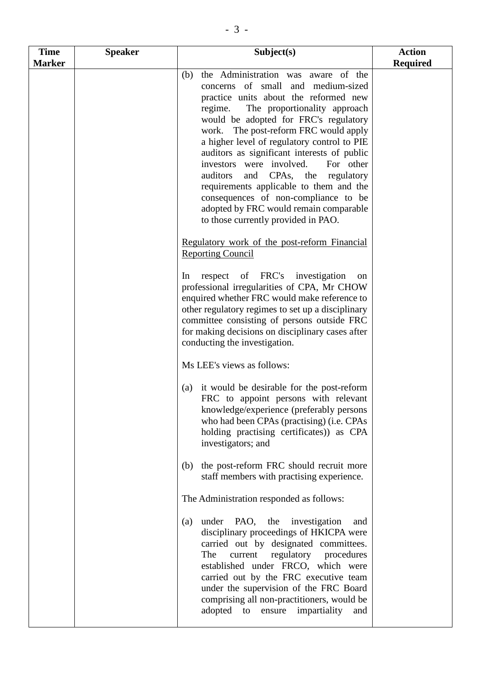| <b>Time</b> | <b>Speaker</b> | Subject(s)                                                                                                                                                                                                                                                                                                                                                                                                                                                                                                                                                                                             | <b>Action</b>   |
|-------------|----------------|--------------------------------------------------------------------------------------------------------------------------------------------------------------------------------------------------------------------------------------------------------------------------------------------------------------------------------------------------------------------------------------------------------------------------------------------------------------------------------------------------------------------------------------------------------------------------------------------------------|-----------------|
| Marker      |                |                                                                                                                                                                                                                                                                                                                                                                                                                                                                                                                                                                                                        | <b>Required</b> |
|             |                | the Administration was aware of the<br>(b)<br>concerns of small and medium-sized<br>practice units about the reformed new<br>regime. The proportionality approach<br>would be adopted for FRC's regulatory<br>work. The post-reform FRC would apply<br>a higher level of regulatory control to PIE<br>auditors as significant interests of public<br>investors were involved.<br>For other<br>auditors<br>and CPAs, the regulatory<br>requirements applicable to them and the<br>consequences of non-compliance to be<br>adopted by FRC would remain comparable<br>to those currently provided in PAO. |                 |
|             |                | Regulatory work of the post-reform Financial<br><b>Reporting Council</b>                                                                                                                                                                                                                                                                                                                                                                                                                                                                                                                               |                 |
|             |                | respect of FRC's investigation<br>In<br>on<br>professional irregularities of CPA, Mr CHOW<br>enquired whether FRC would make reference to<br>other regulatory regimes to set up a disciplinary<br>committee consisting of persons outside FRC<br>for making decisions on disciplinary cases after<br>conducting the investigation.                                                                                                                                                                                                                                                                     |                 |
|             |                | Ms LEE's views as follows:                                                                                                                                                                                                                                                                                                                                                                                                                                                                                                                                                                             |                 |
|             |                | (a) it would be desirable for the post-reform<br>FRC to appoint persons with relevant<br>knowledge/experience (preferably persons<br>who had been CPAs (practising) (i.e. CPAs<br>holding practising certificates) as CPA<br>investigators; and                                                                                                                                                                                                                                                                                                                                                        |                 |
|             |                | the post-reform FRC should recruit more<br>(b)<br>staff members with practising experience.                                                                                                                                                                                                                                                                                                                                                                                                                                                                                                            |                 |
|             |                | The Administration responded as follows:                                                                                                                                                                                                                                                                                                                                                                                                                                                                                                                                                               |                 |
|             |                | under PAO, the investigation<br>(a)<br>and<br>disciplinary proceedings of HKICPA were<br>carried out by designated committees.<br>regulatory procedures<br>The<br>current<br>established under FRCO, which were<br>carried out by the FRC executive team<br>under the supervision of the FRC Board<br>comprising all non-practitioners, would be<br>adopted to<br>ensure<br>impartiality<br>and                                                                                                                                                                                                        |                 |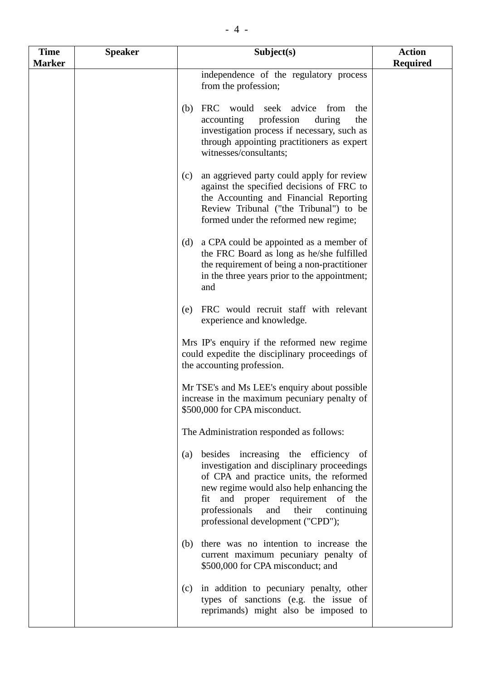| <b>Time</b>   | <b>Speaker</b> | Subject(s)                                                                                                                                                                                                                                                                                                | <b>Action</b>   |
|---------------|----------------|-----------------------------------------------------------------------------------------------------------------------------------------------------------------------------------------------------------------------------------------------------------------------------------------------------------|-----------------|
| <b>Marker</b> |                |                                                                                                                                                                                                                                                                                                           | <b>Required</b> |
|               |                | independence of the regulatory process<br>from the profession;                                                                                                                                                                                                                                            |                 |
|               |                | FRC would seek advice<br>(b)<br>from<br>the<br>accounting<br>profession<br>during<br>the<br>investigation process if necessary, such as<br>through appointing practitioners as expert<br>witnesses/consultants;                                                                                           |                 |
|               |                | an aggrieved party could apply for review<br>(c)<br>against the specified decisions of FRC to<br>the Accounting and Financial Reporting<br>Review Tribunal ("the Tribunal") to be<br>formed under the reformed new regime;                                                                                |                 |
|               |                | a CPA could be appointed as a member of<br>(d)<br>the FRC Board as long as he/she fulfilled<br>the requirement of being a non-practitioner<br>in the three years prior to the appointment;<br>and                                                                                                         |                 |
|               |                | FRC would recruit staff with relevant<br>(e)<br>experience and knowledge.                                                                                                                                                                                                                                 |                 |
|               |                | Mrs IP's enquiry if the reformed new regime<br>could expedite the disciplinary proceedings of<br>the accounting profession.                                                                                                                                                                               |                 |
|               |                | Mr TSE's and Ms LEE's enquiry about possible<br>increase in the maximum pecuniary penalty of<br>\$500,000 for CPA misconduct.                                                                                                                                                                             |                 |
|               |                | The Administration responded as follows:                                                                                                                                                                                                                                                                  |                 |
|               |                | besides increasing the efficiency of<br>(a)<br>investigation and disciplinary proceedings<br>of CPA and practice units, the reformed<br>new regime would also help enhancing the<br>fit and proper requirement of the<br>professionals<br>and<br>their<br>continuing<br>professional development ("CPD"); |                 |
|               |                | there was no intention to increase the<br>(b)<br>current maximum pecuniary penalty of<br>\$500,000 for CPA misconduct; and                                                                                                                                                                                |                 |
|               |                | in addition to pecuniary penalty, other<br>(c)<br>types of sanctions (e.g. the issue of<br>reprimands) might also be imposed to                                                                                                                                                                           |                 |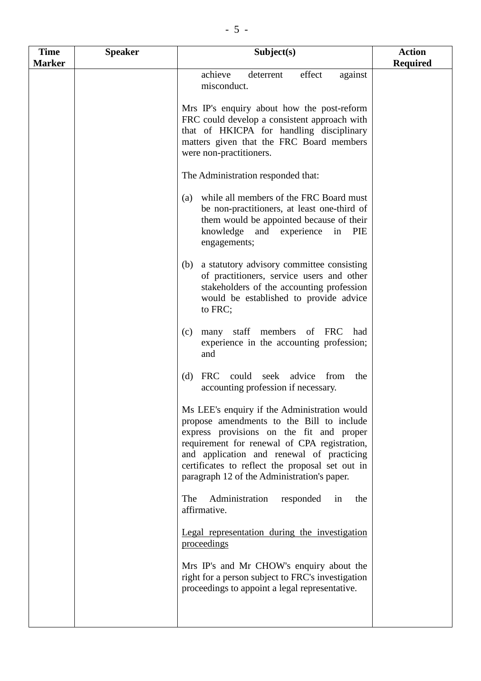| <b>Time</b>   | <b>Speaker</b> | Subject(s)                                                                                                                                                                                                                                                                                                                           | <b>Action</b>   |
|---------------|----------------|--------------------------------------------------------------------------------------------------------------------------------------------------------------------------------------------------------------------------------------------------------------------------------------------------------------------------------------|-----------------|
| <b>Marker</b> |                |                                                                                                                                                                                                                                                                                                                                      | <b>Required</b> |
|               |                | achieve<br>effect<br>deterrent<br>against<br>misconduct.                                                                                                                                                                                                                                                                             |                 |
|               |                | Mrs IP's enquiry about how the post-reform<br>FRC could develop a consistent approach with<br>that of HKICPA for handling disciplinary<br>matters given that the FRC Board members<br>were non-practitioners.                                                                                                                        |                 |
|               |                | The Administration responded that:                                                                                                                                                                                                                                                                                                   |                 |
|               |                | while all members of the FRC Board must<br>(a)<br>be non-practitioners, at least one-third of<br>them would be appointed because of their<br>knowledge and experience in<br>PIE<br>engagements;                                                                                                                                      |                 |
|               |                | a statutory advisory committee consisting<br>(b)<br>of practitioners, service users and other<br>stakeholders of the accounting profession<br>would be established to provide advice<br>to FRC;                                                                                                                                      |                 |
|               |                | many staff members of FRC<br>had<br>(c)<br>experience in the accounting profession;<br>and                                                                                                                                                                                                                                           |                 |
|               |                | could<br>advice<br>(d)<br><b>FRC</b><br>seek<br>from<br>the<br>accounting profession if necessary.                                                                                                                                                                                                                                   |                 |
|               |                | Ms LEE's enquiry if the Administration would<br>propose amendments to the Bill to include<br>express provisions on the fit and proper<br>requirement for renewal of CPA registration,<br>and application and renewal of practicing<br>certificates to reflect the proposal set out in<br>paragraph 12 of the Administration's paper. |                 |
|               |                | Administration<br>The<br>responded in<br>the<br>affirmative.                                                                                                                                                                                                                                                                         |                 |
|               |                | Legal representation during the investigation<br>proceedings                                                                                                                                                                                                                                                                         |                 |
|               |                | Mrs IP's and Mr CHOW's enquiry about the<br>right for a person subject to FRC's investigation<br>proceedings to appoint a legal representative.                                                                                                                                                                                      |                 |
|               |                |                                                                                                                                                                                                                                                                                                                                      |                 |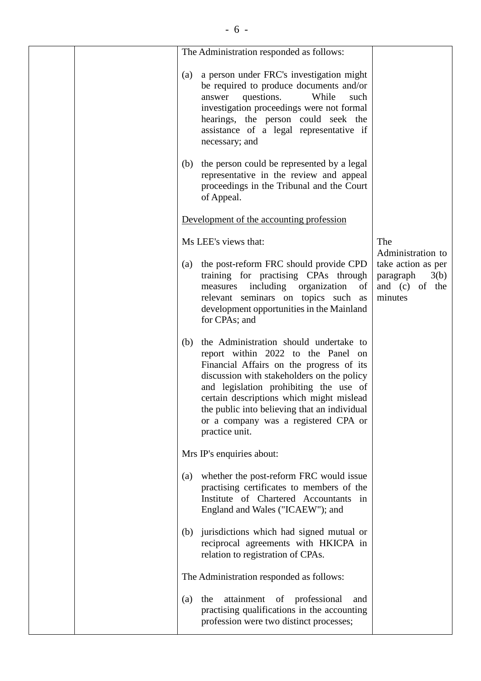|  | The Administration responded as follows:                                                                                                                                                                                                                                                                                                                                      |                                                                                           |
|--|-------------------------------------------------------------------------------------------------------------------------------------------------------------------------------------------------------------------------------------------------------------------------------------------------------------------------------------------------------------------------------|-------------------------------------------------------------------------------------------|
|  | a person under FRC's investigation might<br>(a)<br>be required to produce documents and/or<br>questions.<br>While<br>answer<br>such<br>investigation proceedings were not formal<br>hearings, the person could seek the<br>assistance of a legal representative if<br>necessary; and                                                                                          |                                                                                           |
|  | (b) the person could be represented by a legal<br>representative in the review and appeal<br>proceedings in the Tribunal and the Court<br>of Appeal.                                                                                                                                                                                                                          |                                                                                           |
|  | Development of the accounting profession                                                                                                                                                                                                                                                                                                                                      |                                                                                           |
|  | Ms LEE's views that:                                                                                                                                                                                                                                                                                                                                                          | The                                                                                       |
|  | the post-reform FRC should provide CPD<br>(a)<br>training for practising CPAs through<br>measures including organization<br>of<br>relevant seminars on topics such as<br>development opportunities in the Mainland<br>for CPAs; and                                                                                                                                           | Administration to<br>take action as per<br>paragraph<br>3(b)<br>and (c) of the<br>minutes |
|  | the Administration should undertake to<br>(b)<br>report within 2022 to the Panel on<br>Financial Affairs on the progress of its<br>discussion with stakeholders on the policy<br>and legislation prohibiting the use of<br>certain descriptions which might mislead<br>the public into believing that an individual<br>or a company was a registered CPA or<br>practice unit. |                                                                                           |
|  | Mrs IP's enquiries about:                                                                                                                                                                                                                                                                                                                                                     |                                                                                           |
|  | whether the post-reform FRC would issue<br>(a)<br>practising certificates to members of the<br>Institute of Chartered Accountants in<br>England and Wales ("ICAEW"); and                                                                                                                                                                                                      |                                                                                           |
|  | (b) jurisdictions which had signed mutual or<br>reciprocal agreements with HKICPA in<br>relation to registration of CPAs.                                                                                                                                                                                                                                                     |                                                                                           |
|  | The Administration responded as follows:                                                                                                                                                                                                                                                                                                                                      |                                                                                           |
|  | attainment of professional<br>the<br>(a)<br>and<br>practising qualifications in the accounting<br>profession were two distinct processes;                                                                                                                                                                                                                                     |                                                                                           |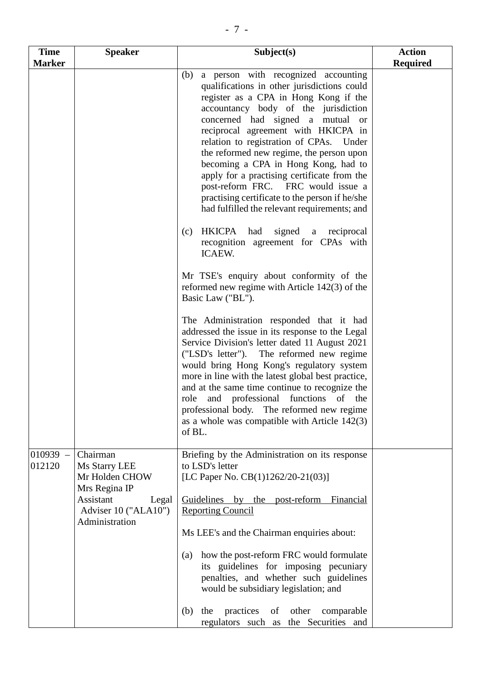| <b>Time</b>          | <b>Speaker</b>                                                                                                               | Subject(s)                                                                                                                                                                                                                                                                                                                                                                                                                                                                                                                                                                                                                                                                                                                                                                                                                                                                                                                                                                                                                                                                                                                                                                                                                                                                                          | <b>Action</b>   |
|----------------------|------------------------------------------------------------------------------------------------------------------------------|-----------------------------------------------------------------------------------------------------------------------------------------------------------------------------------------------------------------------------------------------------------------------------------------------------------------------------------------------------------------------------------------------------------------------------------------------------------------------------------------------------------------------------------------------------------------------------------------------------------------------------------------------------------------------------------------------------------------------------------------------------------------------------------------------------------------------------------------------------------------------------------------------------------------------------------------------------------------------------------------------------------------------------------------------------------------------------------------------------------------------------------------------------------------------------------------------------------------------------------------------------------------------------------------------------|-----------------|
| <b>Marker</b>        |                                                                                                                              |                                                                                                                                                                                                                                                                                                                                                                                                                                                                                                                                                                                                                                                                                                                                                                                                                                                                                                                                                                                                                                                                                                                                                                                                                                                                                                     | <b>Required</b> |
|                      |                                                                                                                              | a person with recognized accounting<br>(b)<br>qualifications in other jurisdictions could<br>register as a CPA in Hong Kong if the<br>accountancy body of the jurisdiction<br>concerned had signed a mutual or<br>reciprocal agreement with HKICPA in<br>relation to registration of CPAs. Under<br>the reformed new regime, the person upon<br>becoming a CPA in Hong Kong, had to<br>apply for a practising certificate from the<br>post-reform FRC. FRC would issue a<br>practising certificate to the person if he/she<br>had fulfilled the relevant requirements; and<br>HKICPA had<br>signed a reciprocal<br>(c)<br>recognition agreement for CPAs with<br>ICAEW.<br>Mr TSE's enquiry about conformity of the<br>reformed new regime with Article 142(3) of the<br>Basic Law ("BL").<br>The Administration responded that it had<br>addressed the issue in its response to the Legal<br>Service Division's letter dated 11 August 2021<br>("LSD's letter"). The reformed new regime<br>would bring Hong Kong's regulatory system<br>more in line with the latest global best practice,<br>and at the same time continue to recognize the<br>role and professional functions of the<br>professional body. The reformed new regime<br>as a whole was compatible with Article $142(3)$<br>of BL. |                 |
| $010939 -$<br>012120 | Chairman<br>Ms Starry LEE<br>Mr Holden CHOW<br>Mrs Regina IP<br>Assistant<br>Legal<br>Adviser 10 ("ALA10")<br>Administration | Briefing by the Administration on its response<br>to LSD's letter<br>[LC Paper No. CB(1)1262/20-21(03)]<br>Guidelines by the post-reform Financial<br><b>Reporting Council</b><br>Ms LEE's and the Chairman enquiries about:<br>how the post-reform FRC would formulate<br>(a)<br>its guidelines for imposing pecuniary<br>penalties, and whether such guidelines<br>would be subsidiary legislation; and<br>practices of<br>other<br>(b)<br>the<br>comparable<br>regulators such as the Securities and                                                                                                                                                                                                                                                                                                                                                                                                                                                                                                                                                                                                                                                                                                                                                                                             |                 |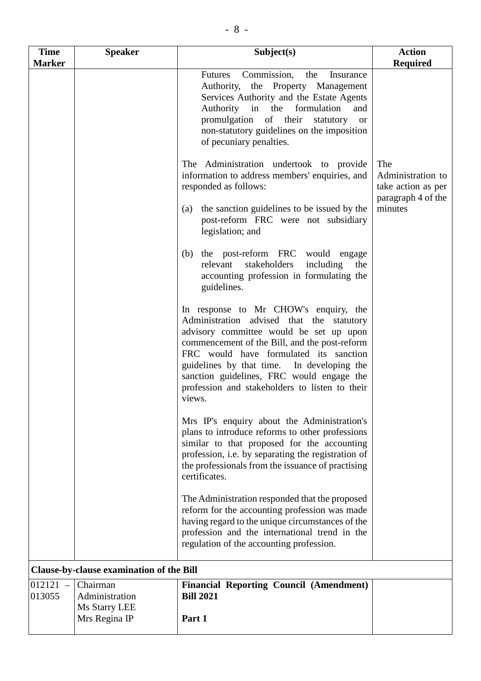| <b>Time</b><br><b>Marker</b> | <b>Speaker</b>                                               | Subject(s)                                                                                                                                                                                                                                                                                                                                                                      | <b>Action</b><br><b>Required</b>                                     |
|------------------------------|--------------------------------------------------------------|---------------------------------------------------------------------------------------------------------------------------------------------------------------------------------------------------------------------------------------------------------------------------------------------------------------------------------------------------------------------------------|----------------------------------------------------------------------|
|                              |                                                              | Commission,<br><b>Futures</b><br>the<br>Insurance<br>Authority, the Property Management<br>Services Authority and the Estate Agents<br>Authority in the<br>formulation<br>and<br>promulgation of their<br>statutory or<br>non-statutory guidelines on the imposition<br>of pecuniary penalties.                                                                                 |                                                                      |
|                              |                                                              | The Administration undertook to provide<br>information to address members' enquiries, and<br>responded as follows:                                                                                                                                                                                                                                                              | The<br>Administration to<br>take action as per<br>paragraph 4 of the |
|                              |                                                              | the sanction guidelines to be issued by the<br>(a)<br>post-reform FRC were not subsidiary<br>legislation; and                                                                                                                                                                                                                                                                   | minutes                                                              |
|                              |                                                              | the post-reform FRC would engage<br>(b)<br>stakeholders<br>including<br>relevant<br>the<br>accounting profession in formulating the<br>guidelines.                                                                                                                                                                                                                              |                                                                      |
|                              |                                                              | In response to Mr CHOW's enquiry, the<br>Administration advised that the statutory<br>advisory committee would be set up upon<br>commencement of the Bill, and the post-reform<br>FRC would have formulated its sanction<br>guidelines by that time. In developing the<br>sanction guidelines, FRC would engage the<br>profession and stakeholders to listen to their<br>views. |                                                                      |
|                              |                                                              | Mrs IP's enquiry about the Administration's<br>plans to introduce reforms to other professions<br>similar to that proposed for the accounting<br>profession, i.e. by separating the registration of<br>the professionals from the issuance of practising<br>certificates.                                                                                                       |                                                                      |
|                              |                                                              | The Administration responded that the proposed<br>reform for the accounting profession was made<br>having regard to the unique circumstances of the<br>profession and the international trend in the<br>regulation of the accounting profession.                                                                                                                                |                                                                      |
|                              | Clause-by-clause examination of the Bill                     |                                                                                                                                                                                                                                                                                                                                                                                 |                                                                      |
| $012121 -$<br>013055         | Chairman<br>Administration<br>Ms Starry LEE<br>Mrs Regina IP | <b>Financial Reporting Council (Amendment)</b><br><b>Bill 2021</b><br>Part 1                                                                                                                                                                                                                                                                                                    |                                                                      |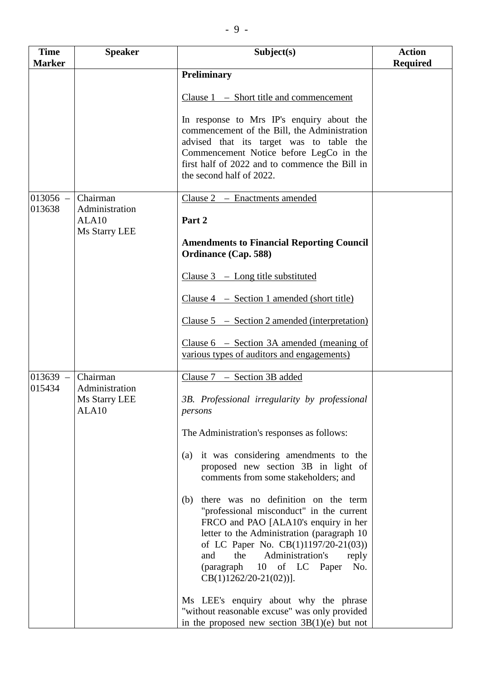| <b>Time</b>   | <b>Speaker</b>                                       | Subject(s)                                                                                                                                                                                                                                                                                                                        | <b>Action</b>   |
|---------------|------------------------------------------------------|-----------------------------------------------------------------------------------------------------------------------------------------------------------------------------------------------------------------------------------------------------------------------------------------------------------------------------------|-----------------|
| <b>Marker</b> |                                                      |                                                                                                                                                                                                                                                                                                                                   | <b>Required</b> |
|               |                                                      | <b>Preliminary</b>                                                                                                                                                                                                                                                                                                                |                 |
|               |                                                      | Clause $1 -$ Short title and commencement                                                                                                                                                                                                                                                                                         |                 |
|               |                                                      | In response to Mrs IP's enquiry about the<br>commencement of the Bill, the Administration<br>advised that its target was to table the<br>Commencement Notice before LegCo in the<br>first half of 2022 and to commence the Bill in<br>the second half of 2022.                                                                    |                 |
| $013056 -$    | Chairman                                             | Clause 2 - Enactments amended                                                                                                                                                                                                                                                                                                     |                 |
| 013638        | Administration<br>ALA <sub>10</sub><br>Ms Starry LEE | Part 2                                                                                                                                                                                                                                                                                                                            |                 |
|               |                                                      | <b>Amendments to Financial Reporting Council</b><br><b>Ordinance (Cap. 588)</b>                                                                                                                                                                                                                                                   |                 |
|               |                                                      | Clause $3$ – Long title substituted                                                                                                                                                                                                                                                                                               |                 |
|               |                                                      | Clause $4 -$ Section 1 amended (short title)                                                                                                                                                                                                                                                                                      |                 |
|               |                                                      | Clause $5 -$ Section 2 amended (interpretation)                                                                                                                                                                                                                                                                                   |                 |
|               |                                                      | Clause $6 -$ Section 3A amended (meaning of<br>various types of auditors and engagements)                                                                                                                                                                                                                                         |                 |
| $013639 -$    | Chairman                                             | Clause $7 - Section 3B$ added                                                                                                                                                                                                                                                                                                     |                 |
| 015434        | Administration<br>Ms Starry LEE<br>ALA10             | 3B. Professional irregularity by professional<br>persons                                                                                                                                                                                                                                                                          |                 |
|               |                                                      | The Administration's responses as follows:                                                                                                                                                                                                                                                                                        |                 |
|               |                                                      | it was considering amendments to the<br>(a)<br>proposed new section 3B in light of<br>comments from some stakeholders; and                                                                                                                                                                                                        |                 |
|               |                                                      | there was no definition on the term<br>(b)<br>"professional misconduct" in the current<br>FRCO and PAO [ALA10's enquiry in her<br>letter to the Administration (paragraph 10)<br>of LC Paper No. CB(1)1197/20-21(03))<br>Administration's<br>and<br>the<br>reply<br>(paragraph 10 of LC Paper<br>No.<br>$CB(1)1262/20-21(02))$ ]. |                 |
|               |                                                      | Ms LEE's enquiry about why the phrase<br>"without reasonable excuse" was only provided<br>in the proposed new section $3B(1)(e)$ but not                                                                                                                                                                                          |                 |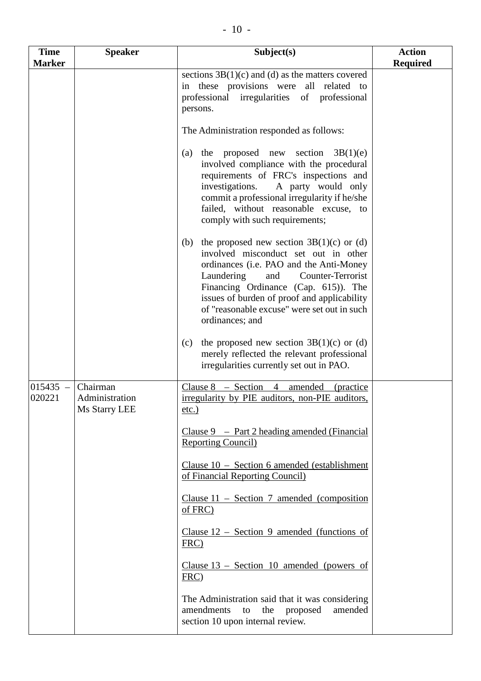| <b>Time</b><br><b>Marker</b> | <b>Speaker</b>                              | Subject(s)                                                                                                                                                                                                                                                                                                                              | <b>Action</b><br><b>Required</b> |
|------------------------------|---------------------------------------------|-----------------------------------------------------------------------------------------------------------------------------------------------------------------------------------------------------------------------------------------------------------------------------------------------------------------------------------------|----------------------------------|
|                              |                                             | sections $3B(1)(c)$ and (d) as the matters covered<br>in these provisions were all related to<br>professional irregularities of professional<br>persons.                                                                                                                                                                                |                                  |
|                              |                                             | The Administration responded as follows:                                                                                                                                                                                                                                                                                                |                                  |
|                              |                                             | the proposed new section $3B(1)(e)$<br>(a)<br>involved compliance with the procedural<br>requirements of FRC's inspections and<br>investigations.<br>A party would only<br>commit a professional irregularity if he/she<br>failed, without reasonable excuse, to<br>comply with such requirements;                                      |                                  |
|                              |                                             | the proposed new section $3B(1)(c)$ or (d)<br>(b)<br>involved misconduct set out in other<br>ordinances (i.e. PAO and the Anti-Money<br>Laundering<br>and<br>Counter-Terrorist<br>Financing Ordinance (Cap. 615)). The<br>issues of burden of proof and applicability<br>of "reasonable excuse" were set out in such<br>ordinances; and |                                  |
|                              |                                             | the proposed new section $3B(1)(c)$ or (d)<br>(c)<br>merely reflected the relevant professional<br>irregularities currently set out in PAO.                                                                                                                                                                                             |                                  |
| $015435 -$<br>020221         | Chairman<br>Administration<br>Ms Starry LEE | Clause $8 - \text{Section} 4$<br>amended<br><i>(practice)</i><br>irregularity by PIE auditors, non-PIE auditors,<br>$etc.$ )                                                                                                                                                                                                            |                                  |
|                              |                                             | Clause $9$ – Part 2 heading amended (Financial<br><b>Reporting Council)</b>                                                                                                                                                                                                                                                             |                                  |
|                              |                                             | Clause $10$ – Section 6 amended (establishment)<br>of Financial Reporting Council)                                                                                                                                                                                                                                                      |                                  |
|                              |                                             | Clause $11$ – Section 7 amended (composition<br>of FRC)                                                                                                                                                                                                                                                                                 |                                  |
|                              |                                             | Clause $12$ – Section 9 amended (functions of<br>FRC)                                                                                                                                                                                                                                                                                   |                                  |
|                              |                                             | Clause $13$ – Section 10 amended (powers of<br>$FRC$ )                                                                                                                                                                                                                                                                                  |                                  |
|                              |                                             | The Administration said that it was considering<br>the<br>amendments<br>to<br>proposed<br>amended<br>section 10 upon internal review.                                                                                                                                                                                                   |                                  |